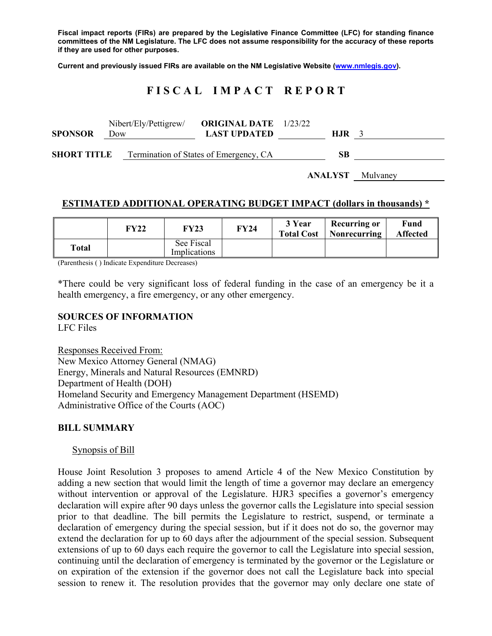**Fiscal impact reports (FIRs) are prepared by the Legislative Finance Committee (LFC) for standing finance committees of the NM Legislature. The LFC does not assume responsibility for the accuracy of these reports if they are used for other purposes.** 

**Current and previously issued FIRs are available on the NM Legislative Website (www.nmlegis.gov).** 

# **F I S C A L I M P A C T R E P O R T**

| <b>SPONSOR</b>     | Nibert/Ely/Pettigrew/<br>Dow | <b>ORIGINAL DATE</b> 1/23/22<br><b>LAST UPDATED</b> | H.JR |  |
|--------------------|------------------------------|-----------------------------------------------------|------|--|
| <b>SHORT TITLE</b> |                              | Termination of States of Emergency, CA              | SВ   |  |

**ANALYST** Mulvaney

#### **ESTIMATED ADDITIONAL OPERATING BUDGET IMPACT (dollars in thousands) \***

|       | FY22 | FY23                       | <b>FY24</b> | 3 Year<br><b>Total Cost</b> | Recurring or<br>  Nonrecurring | Fund<br><b>Affected</b> |
|-------|------|----------------------------|-------------|-----------------------------|--------------------------------|-------------------------|
| Total |      | See Fiscal<br>Implications |             |                             |                                |                         |

(Parenthesis ( ) Indicate Expenditure Decreases)

\*There could be very significant loss of federal funding in the case of an emergency be it a health emergency, a fire emergency, or any other emergency.

#### **SOURCES OF INFORMATION**

LFC Files

Responses Received From: New Mexico Attorney General (NMAG) Energy, Minerals and Natural Resources (EMNRD) Department of Health (DOH) Homeland Security and Emergency Management Department (HSEMD) Administrative Office of the Courts (AOC)

#### **BILL SUMMARY**

Synopsis of Bill

House Joint Resolution 3 proposes to amend Article 4 of the New Mexico Constitution by adding a new section that would limit the length of time a governor may declare an emergency without intervention or approval of the Legislature. HJR3 specifies a governor's emergency declaration will expire after 90 days unless the governor calls the Legislature into special session prior to that deadline. The bill permits the Legislature to restrict, suspend, or terminate a declaration of emergency during the special session, but if it does not do so, the governor may extend the declaration for up to 60 days after the adjournment of the special session. Subsequent extensions of up to 60 days each require the governor to call the Legislature into special session, continuing until the declaration of emergency is terminated by the governor or the Legislature or on expiration of the extension if the governor does not call the Legislature back into special session to renew it. The resolution provides that the governor may only declare one state of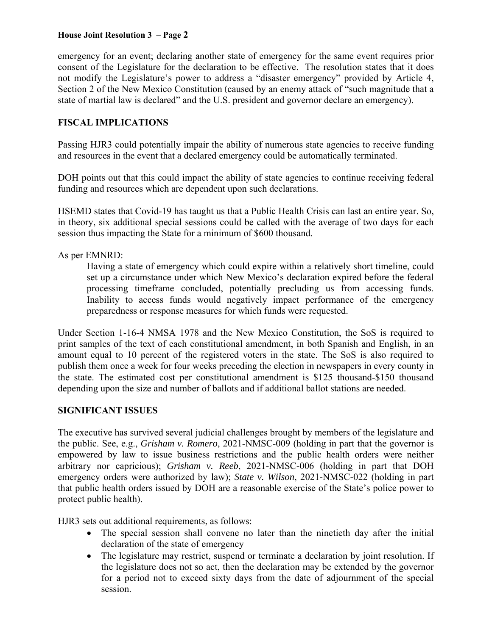#### **House Joint Resolution 3 – Page 2**

emergency for an event; declaring another state of emergency for the same event requires prior consent of the Legislature for the declaration to be effective. The resolution states that it does not modify the Legislature's power to address a "disaster emergency" provided by Article 4, Section 2 of the New Mexico Constitution (caused by an enemy attack of "such magnitude that a state of martial law is declared" and the U.S. president and governor declare an emergency).

## **FISCAL IMPLICATIONS**

Passing HJR3 could potentially impair the ability of numerous state agencies to receive funding and resources in the event that a declared emergency could be automatically terminated.

DOH points out that this could impact the ability of state agencies to continue receiving federal funding and resources which are dependent upon such declarations.

HSEMD states that Covid-19 has taught us that a Public Health Crisis can last an entire year. So, in theory, six additional special sessions could be called with the average of two days for each session thus impacting the State for a minimum of \$600 thousand.

As per EMNRD:

Having a state of emergency which could expire within a relatively short timeline, could set up a circumstance under which New Mexico's declaration expired before the federal processing timeframe concluded, potentially precluding us from accessing funds. Inability to access funds would negatively impact performance of the emergency preparedness or response measures for which funds were requested.

Under Section 1-16-4 NMSA 1978 and the New Mexico Constitution, the SoS is required to print samples of the text of each constitutional amendment, in both Spanish and English, in an amount equal to 10 percent of the registered voters in the state. The SoS is also required to publish them once a week for four weeks preceding the election in newspapers in every county in the state. The estimated cost per constitutional amendment is \$125 thousand-\$150 thousand depending upon the size and number of ballots and if additional ballot stations are needed.

## **SIGNIFICANT ISSUES**

The executive has survived several judicial challenges brought by members of the legislature and the public. See, e.g., *Grisham v. Romero*, 2021-NMSC-009 (holding in part that the governor is empowered by law to issue business restrictions and the public health orders were neither arbitrary nor capricious); *Grisham v. Reeb*, 2021-NMSC-006 (holding in part that DOH emergency orders were authorized by law); *State v. Wilson*, 2021-NMSC-022 (holding in part that public health orders issued by DOH are a reasonable exercise of the State's police power to protect public health).

HJR3 sets out additional requirements, as follows:

- The special session shall convene no later than the ninetieth day after the initial declaration of the state of emergency
- The legislature may restrict, suspend or terminate a declaration by joint resolution. If the legislature does not so act, then the declaration may be extended by the governor for a period not to exceed sixty days from the date of adjournment of the special session.